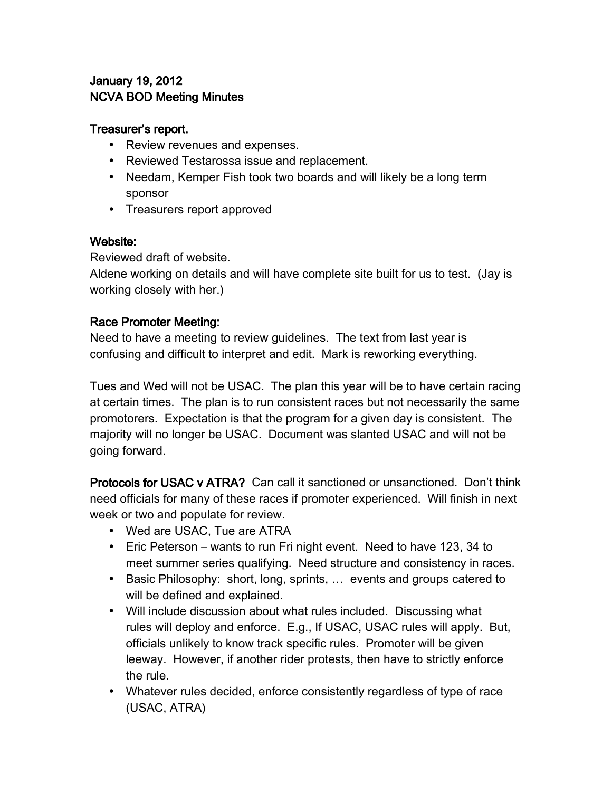# January 19, 2012 NCVA BOD Meeting Minutes

### Treasurer's report.

- Review revenues and expenses.
- Reviewed Testarossa issue and replacement.
- Needam, Kemper Fish took two boards and will likely be a long term sponsor
- Treasurers report approved

## Website:

Reviewed draft of website.

Aldene working on details and will have complete site built for us to test. (Jay is working closely with her.)

## Race Promoter Meeting:

Need to have a meeting to review guidelines. The text from last year is confusing and difficult to interpret and edit. Mark is reworking everything.

Tues and Wed will not be USAC. The plan this year will be to have certain racing at certain times. The plan is to run consistent races but not necessarily the same promotorers. Expectation is that the program for a given day is consistent. The majority will no longer be USAC. Document was slanted USAC and will not be going forward.

Protocols for USAC v ATRA? Can call it sanctioned or unsanctioned. Don't think need officials for many of these races if promoter experienced. Will finish in next week or two and populate for review.

- Wed are USAC, Tue are ATRA
- Eric Peterson wants to run Fri night event. Need to have 123, 34 to meet summer series qualifying. Need structure and consistency in races.
- Basic Philosophy: short, long, sprints, … events and groups catered to will be defined and explained.
- Will include discussion about what rules included. Discussing what rules will deploy and enforce. E.g., If USAC, USAC rules will apply. But, officials unlikely to know track specific rules. Promoter will be given leeway. However, if another rider protests, then have to strictly enforce the rule.
- Whatever rules decided, enforce consistently regardless of type of race (USAC, ATRA)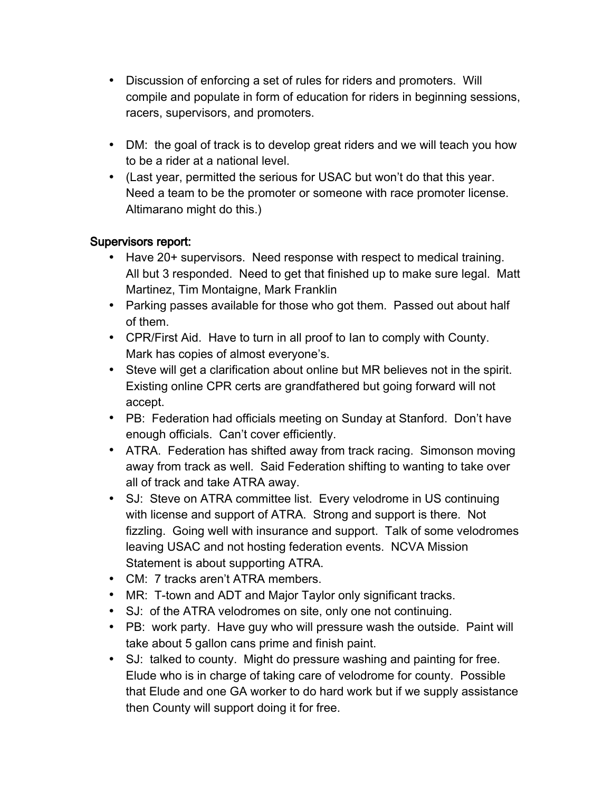- Discussion of enforcing a set of rules for riders and promoters. Will compile and populate in form of education for riders in beginning sessions, racers, supervisors, and promoters.
- DM: the goal of track is to develop great riders and we will teach you how to be a rider at a national level.
- (Last year, permitted the serious for USAC but won't do that this year. Need a team to be the promoter or someone with race promoter license. Altimarano might do this.)

## Supervisors report:

- Have 20+ supervisors. Need response with respect to medical training. All but 3 responded. Need to get that finished up to make sure legal. Matt Martinez, Tim Montaigne, Mark Franklin
- Parking passes available for those who got them. Passed out about half of them.
- CPR/First Aid. Have to turn in all proof to Ian to comply with County. Mark has copies of almost everyone's.
- Steve will get a clarification about online but MR believes not in the spirit. Existing online CPR certs are grandfathered but going forward will not accept.
- PB: Federation had officials meeting on Sunday at Stanford. Don't have enough officials. Can't cover efficiently.
- ATRA. Federation has shifted away from track racing. Simonson moving away from track as well. Said Federation shifting to wanting to take over all of track and take ATRA away.
- SJ: Steve on ATRA committee list. Every velodrome in US continuing with license and support of ATRA. Strong and support is there. Not fizzling. Going well with insurance and support. Talk of some velodromes leaving USAC and not hosting federation events. NCVA Mission Statement is about supporting ATRA.
- CM: 7 tracks aren't ATRA members.
- MR: T-town and ADT and Major Taylor only significant tracks.
- SJ: of the ATRA velodromes on site, only one not continuing.
- PB: work party. Have guy who will pressure wash the outside. Paint will take about 5 gallon cans prime and finish paint.
- SJ: talked to county. Might do pressure washing and painting for free. Elude who is in charge of taking care of velodrome for county. Possible that Elude and one GA worker to do hard work but if we supply assistance then County will support doing it for free.